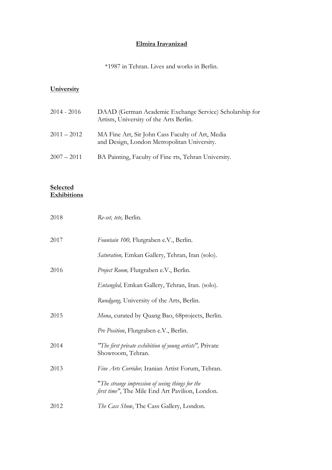## **Elmira Iravanizad**

\*1987 in Tehran. Lives and works in Berlin.

## **University**

| $2014 - 2016$ | DAAD (German Academic Exchange Service) Scholarship for<br>Artists, University of the Arts Berlin. |
|---------------|----------------------------------------------------------------------------------------------------|
| $2011 - 2012$ | MA Fine Art, Sir John Cass Faculty of Art, Media<br>and Design, London Metropolitan University.    |
| $2007 - 2011$ | BA Painting, Faculty of Fine rts, Tehran University.                                               |

## **Selected Exhibitions**

| 2018 | Re-set, tete, Berlin.                                                                               |
|------|-----------------------------------------------------------------------------------------------------|
| 2017 | Fountain 100, Flutgraben e.V., Berlin.                                                              |
|      | Saturation, Emkan Gallery, Tehran, Iran (solo).                                                     |
| 2016 | Project Room, Flutgraben e.V., Berlin.                                                              |
|      | Entangled, Emkan Gallery, Tehran, Iran. (solo).                                                     |
|      | Rundgang, University of the Arts, Berlin.                                                           |
| 2015 | Mona, curated by Quang Bao, 68 projects, Berlin.                                                    |
|      | Pre Position, Flutgraben e.V., Berlin.                                                              |
| 2014 | "The first private exhibition of young artists", Private<br>Showroom, Tehran.                       |
| 2013 | Fine Arts Corridor, Iranian Artist Forum, Tehran.                                                   |
|      | "The strange impression of seeing things for the<br>first time", The Mile End Art Pavilion, London. |
| 2012 | The Cass Show, The Cass Gallery, London.                                                            |